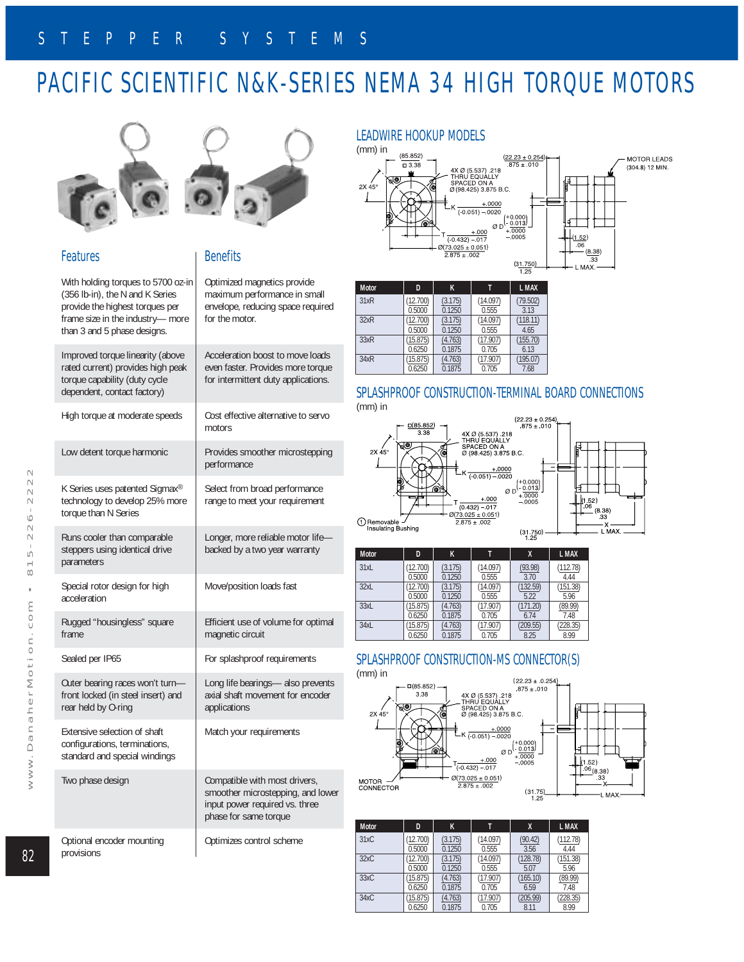# PACIFIC SCIENTIFIC N&K-SERIES NEMA 34 HIGH TORQUE MOTORS



### Features

**Benefits** 

With holding torques to 5700 oz-in (356 lb-in), the N and K Series provide the highest torques per frame size in the industry— more than 3 and 5 phase designs. Improved torque linearity (above rated current) provides high peak torque capability (duty cycle for intermittent duty applications.

dependent, contact factory) High torque at moderate speeds

Low detent torque harmonic K Series uses patented Sigmax® technology to develop 25% more torque than N Series Runs cooler than comparable steppers using identical drive parameters Special rotor design for high acceleration Rugged "housingless" square frame

Sealed per IP65

rear held by O-ring

Two phase design

provisions

Extensive selection of shaft configurations, terminations,

Optional encoder mounting



Optimized magnetics provide maximum performance in small envelope, reducing space required for the motor. Acceleration boost to move loads even faster. Provides more torque

Cost effective alternative to servo motors Provides smoother microstepping performance

Select from broad performance range to meet your requirement

Longer, more reliable motor life backed by a two year warranty Move/position loads fast Efficient use of volume for optimal magnetic circuit

Outer bearing races won't turn front locked (in steel insert) and standard and special windings For splashproof requirements Long life bearings— also prevents axial shaft movement for encoder applications Match your requirements

> Compatible with most drivers, smoother microstepping, and lower input power required vs. three phase for same torque

Optimizes control scheme

### LEADWIRE HOOKUP MODELS



| <b>Motor</b> | D        | K       | T        | L MAX    |
|--------------|----------|---------|----------|----------|
| 31xR         | (12.700) | (3.175) | (14.097) | (79.502) |
|              | 0.5000   | 0.1250  | 0.555    | 3.13     |
| 32xR         | (12.700) | (3.175) | (14.097) | (118.11) |
|              | 0.5000   | 0.1250  | 0.555    | 4.65     |
| 33xR         | (15.875) | (4.763) | (17.907) | (155.70) |
|              | 0.6250   | 0.1875  | 0.705    | 6.13     |
| 34xR         | 15.875)  | (4.763) | (17.907) | (195.07) |
|              | 0.6250   | 0.1875  | 0.705    | 7.68     |

### SPLASHPROOF CONSTRUCTION-TERMINAL BOARD CONNECTIONS



| <b>Motor</b> | D        | K       |          | χ        | L MAX    |
|--------------|----------|---------|----------|----------|----------|
| 31xL         | (12.700) | (3.175) | (14.097) | (93.98)  | (112.78) |
|              | 0.5000   | 0.1250  | 0.555    | 3.70     | 4.44     |
| 32xL         | (12.700) | (3.175) | (14.097) | (132.59) | (151.38) |
|              | 0.5000   | 0.1250  | 0.555    | 5.22     | 5.96     |
| 33xL         | (15.875) | (4.763) | (17.907) | (171.20) | (89.99)  |
|              | 0.6250   | 0.1875  | 0.705    | 6.74     | 7.48     |
| 34xL         | (15.875) | (4.763) | (17.907) | (209.55) | (228.35) |
|              | 0.6250   | 0.1875  | 0.705    | 8.25     | 8.99     |

### SPLASHPROOF CONSTRUCTION-MS CONNECTOR(S)



| <b>Motor</b> | D        | K       |          | X        | L MAX    |
|--------------|----------|---------|----------|----------|----------|
| 31xC         | (12.700) | (3.175) | (14.097) | (90.42)  | (112.78) |
|              | 0.5000   | 0.1250  | 0.555    | 3.56     | 4.44     |
| 32xC         | (12.700) | (3.175) | (14.097) | (128.78) | (151.38) |
|              | 0.5000   | 0.1250  | 0.555    | 5.07     | 5.96     |
| 33xC         | (15.875) | (4.763) | (17.907) | (165.10) | (89.99)  |
|              | 0.6250   | 0.1875  | 0.705    | 6.59     | 7.48     |
| 34xC         | (15.875) | (4.763) | (17.907) | (205.99) | (228.35) |
|              | 0.6250   | 0.1875  | 0.705    | 8.11     | 8.99     |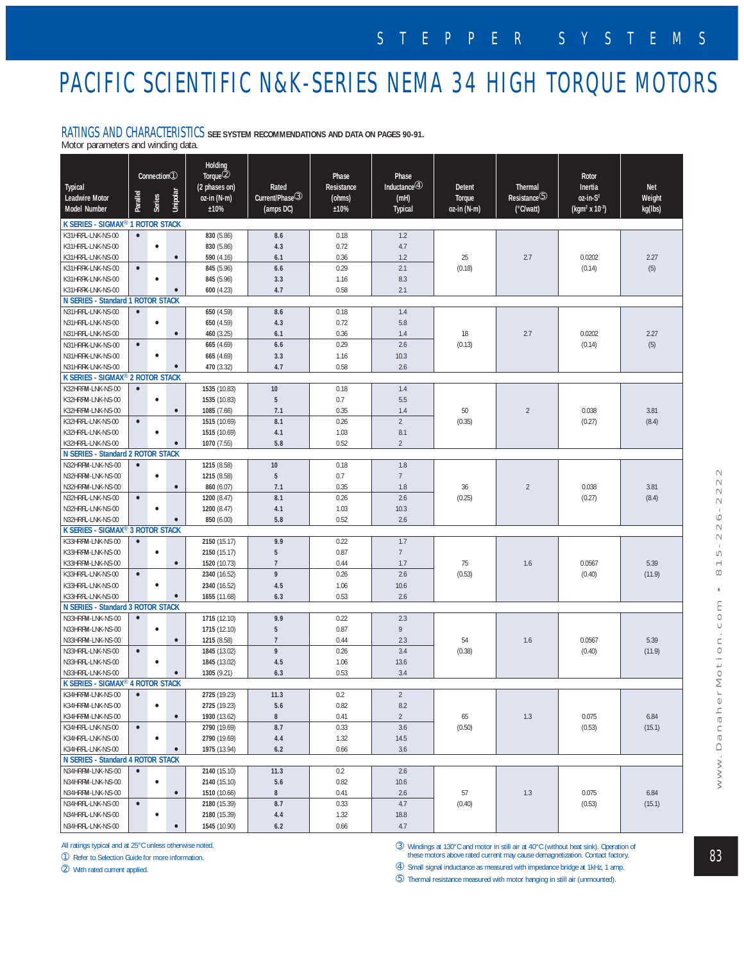## PACIFIC SCIENTIFIC N&K-SERIES NEMA 34 HIGH TORQUE MOTORS

### RATINGS AND CHARACTERISTICS **SEE SYSTEM RECOMMENDATIONS AND DATA ON PAGES 90-91.**

Motor parameters and winding data.

| <b>Typical</b><br><b>Leadwire Motor</b><br>Model Number | Parallel  | Connection①<br>Series | Unipolar  | Holding<br>Torque <sup>2</sup><br>(2 phases on)<br>oz-in (N-m)<br>±10% | Rated<br>Current/Phase <sup>3</sup><br>(amps DC) | Phase<br>Resistance<br>(ohms)<br>±10% | Phase<br>Inductance $@$<br>(mH)<br><b>Typical</b> | Detent<br>Torque<br>oz-in (N-m) | Thermal<br>Resistance <sup>(5)</sup><br>(°C/watt) | Rotor<br>Inertia<br>$oz-in-S2$<br>(kgm <sup>2</sup> x 10 <sup>-3</sup> ) | <b>Net</b><br>Weight<br>kg(lbs) |
|---------------------------------------------------------|-----------|-----------------------|-----------|------------------------------------------------------------------------|--------------------------------------------------|---------------------------------------|---------------------------------------------------|---------------------------------|---------------------------------------------------|--------------------------------------------------------------------------|---------------------------------|
| K SERIES - SIGMAX <sup>®</sup> 1 ROTOR STACK            |           |                       |           |                                                                        |                                                  |                                       |                                                   |                                 |                                                   |                                                                          |                                 |
| K31HRFL-LNK-NS-00                                       | $\bullet$ |                       |           | 830 (5.86)                                                             | 8.6                                              | 0.18                                  | 1.2                                               |                                 |                                                   |                                                                          |                                 |
| K31HRFL-LNK-NS-00                                       |           | $\bullet$             |           | 830 (5.86)                                                             | 4.3                                              | 0.72                                  | 4.7                                               |                                 |                                                   |                                                                          |                                 |
| K31HRFL-LNK-NS-00                                       |           |                       | $\bullet$ | 590 (4.16)                                                             | 6.1                                              | 0.36                                  | 1.2                                               | 25                              | 2.7                                               | 0.0202                                                                   | 2.27                            |
| K31HRFK-LNK-NS-00                                       | $\bullet$ |                       |           | 845 (5.96)                                                             | 6.6                                              | 0.29                                  | 2.1                                               | (0.18)                          |                                                   | (0.14)                                                                   | (5)                             |
| K31HRFK-LNK-NS-00                                       |           | $\bullet$             |           | 845 (5.96)                                                             | 3.3                                              | 1.16                                  | 8.3                                               |                                 |                                                   |                                                                          |                                 |
| K31HRFK-LNK-NS-00                                       |           |                       |           | 600 (4.23)                                                             | 4.7                                              | 0.58                                  | 2.1                                               |                                 |                                                   |                                                                          |                                 |
| N SERIES - Standard 1 ROTOR STACK                       |           |                       |           |                                                                        |                                                  |                                       |                                                   |                                 |                                                   |                                                                          |                                 |
| N31HRFL-LNK-NS-00                                       | $\bullet$ |                       |           | 650 (4.59)                                                             | 8.6                                              | 0.18                                  | 1.4                                               |                                 |                                                   |                                                                          |                                 |
| N31HRFL-LNK-NS-00                                       |           | $\bullet$             |           | 650 (4.59)                                                             | 4.3                                              | 0.72                                  | 5.8                                               |                                 |                                                   |                                                                          |                                 |
| N31HRFL-LNK-NS-00                                       |           |                       | $\bullet$ | 460 (3.25)                                                             | 6.1                                              | 0.36                                  | 1.4                                               | 18                              | 2.7                                               | 0.0202<br>(0.14)                                                         | 2.27<br>(5)                     |
| N31HRFK-LNK-NS-00                                       | $\bullet$ |                       |           | 665 (4.69)                                                             | 6.6                                              | 0.29                                  | 2.6                                               | (0.13)                          |                                                   |                                                                          |                                 |
| N31HRFK-LNK-NS-00                                       |           | $\bullet$             |           | 665 (4.69)                                                             | 3.3                                              | 1.16                                  | 10.3                                              |                                 |                                                   |                                                                          |                                 |
| N31HRFK-LNK-NS-00                                       |           |                       |           | 470 (3.32)                                                             | 4.7                                              | 0.58                                  | 2.6                                               |                                 |                                                   |                                                                          |                                 |
| K SERIES - SIGMAX <sup>®</sup> 2 ROTOR STACK            |           |                       |           |                                                                        |                                                  |                                       |                                                   |                                 |                                                   |                                                                          |                                 |
| K32HRFM-LNK-NS-00                                       | $\bullet$ |                       |           | 1535 (10.83)                                                           | 10                                               | 0.18                                  | 1.4                                               |                                 |                                                   |                                                                          |                                 |
| K32HRFM-LNK-NS-00                                       |           | $\bullet$             |           | 1535 (10.83)                                                           | 5                                                | 0.7                                   | 5.5                                               |                                 | $\sqrt{2}$                                        | 0.038<br>(0.27)                                                          | 3.81<br>(8.4)                   |
| K32HRFM-LNK-NS-00                                       |           |                       | $\bullet$ | 1085 (7.66)                                                            | 7.1                                              | 0.35                                  | 1.4                                               | 50                              |                                                   |                                                                          |                                 |
| K32HRFL-LNK-NS-00                                       | $\bullet$ |                       |           | 1515 (10.69)                                                           | 8.1                                              | 0.26                                  | $\overline{2}$                                    | (0.35)                          |                                                   |                                                                          |                                 |
| K32HRFL-LNK-NS-00                                       |           | $\bullet$             |           | 1515 (10.69)                                                           | 4.1                                              | 1.03                                  | 8.1                                               |                                 |                                                   |                                                                          |                                 |
| K32HRFL-LNK-NS-00                                       |           |                       |           | 1070 (7.55)                                                            | 5.8                                              | 0.52                                  | $\overline{2}$                                    |                                 |                                                   |                                                                          |                                 |
| N SERIES - Standard 2 ROTOR STACK                       |           |                       |           |                                                                        |                                                  |                                       |                                                   |                                 |                                                   |                                                                          |                                 |
| N32HRFM-LNK-NS-00                                       | $\bullet$ |                       |           | 1215 (8.58)                                                            | 10                                               | 0.18                                  | 1.8                                               |                                 |                                                   |                                                                          |                                 |
| N32HRFM-LNK-NS-00                                       |           | $\bullet$             |           | 1215 (8.58)                                                            | 5                                                | 0.7                                   | $\boldsymbol{7}$                                  |                                 |                                                   |                                                                          |                                 |
| N32HRFM-LNK-NS-00                                       |           |                       | $\bullet$ | 860 (6.07)                                                             | 7.1                                              | 0.35                                  | 1.8                                               | 36                              | $\sqrt{2}$                                        | 0.038                                                                    | 3.81                            |
| N32HRFL-LNK-NS-00                                       | $\bullet$ |                       |           | 1200 (8.47)                                                            | 8.1                                              | 0.26                                  | 2.6                                               | (0.25)                          |                                                   | (0.27)                                                                   | (8.4)                           |
| N32HRFL-LNK-NS-00                                       |           | $\bullet$             |           | 1200 (8.47)                                                            | 4.1                                              | 1.03                                  | 10.3                                              |                                 |                                                   |                                                                          |                                 |
| 5.8<br>2.6<br>N32HRFL-LNK-NS-00<br>850 (6.00)<br>0.52   |           |                       |           |                                                                        |                                                  |                                       |                                                   |                                 |                                                   |                                                                          |                                 |
| K SERIES - SIGMAX <sup>®</sup> 3 ROTOR STACK            |           |                       |           |                                                                        |                                                  |                                       |                                                   |                                 |                                                   |                                                                          |                                 |
| K33HRFM-LNK-NS-00                                       | $\bullet$ |                       |           | 2150 (15.17)                                                           | 9.9                                              | 0.22                                  | 1.7                                               |                                 |                                                   |                                                                          |                                 |
| K33HRFM-LNK-NS-00                                       |           | $\bullet$             |           | 2150 (15.17)                                                           | $5\phantom{.0}$                                  | 0.87                                  | $7\phantom{.}$                                    |                                 |                                                   |                                                                          | 5.39                            |
| K33HRFM-LNK-NS-00<br>K33HRFL-LNK-NS-00                  |           |                       | $\bullet$ | 1520 (10.73)                                                           | $\overline{\mathfrak{I}}$<br>9                   | 0.44<br>0.26                          | 1.7<br>2.6                                        | 75                              | 1.6                                               | 0.0567<br>(0.40)                                                         | (11.9)                          |
| K33HRFL-LNK-NS-00                                       | $\bullet$ | $\bullet$             |           | 2340 (16.52)<br>2340 (16.52)                                           | 4.5                                              | 1.06                                  | 10.6                                              | (0.53)                          |                                                   |                                                                          |                                 |
| K33HRFL-LNK-NS-00                                       |           |                       |           | 1655 (11.68)                                                           | 6.3                                              | 0.53                                  | 2.6                                               |                                 |                                                   |                                                                          |                                 |
| N SERIES - Standard 3 ROTOR STACK                       |           |                       |           |                                                                        |                                                  |                                       |                                                   |                                 |                                                   |                                                                          |                                 |
| N33HRFM-LNK-NS-00                                       | $\bullet$ |                       |           | 1715 (12.10)                                                           | 9.9                                              | 0.22                                  | 2.3                                               |                                 |                                                   |                                                                          |                                 |
| N33HRFM-LNK-NS-00                                       |           | $\bullet$             |           | 1715 (12.10)                                                           | 5                                                | 0.87                                  | $\overline{9}$                                    |                                 |                                                   |                                                                          |                                 |
| N33HRFM-LNK-NS-00                                       |           |                       | $\bullet$ | 1215 (8.58)                                                            | $\boldsymbol{7}$                                 | 0.44                                  | 2.3                                               | 54                              | 1.6                                               | 0.0567                                                                   | 5.39                            |
| N33HRFL-LNK-NS-00                                       | $\bullet$ |                       |           | 1845 (13.02)                                                           | 9                                                | 0.26                                  | 3.4                                               | (0.38)                          |                                                   | (0.40)                                                                   | (11.9)                          |
| N33HRFL-LNK-NS-00                                       |           | $\bullet$             |           | 1845 (13.02)                                                           | 4.5                                              | 1.06                                  | 13.6                                              |                                 |                                                   |                                                                          |                                 |
| N33HRFL-LNK-NS-00                                       |           |                       |           | 1305 (9.21)                                                            | 6.3                                              | 0.53                                  | 3.4                                               |                                 |                                                   |                                                                          |                                 |
| K SERIES - SIGMAX <sup>®</sup> 4 ROTOR STACK            |           |                       |           |                                                                        |                                                  |                                       |                                                   |                                 |                                                   |                                                                          |                                 |
| K34HRFM-LNK-NS-00                                       | $\bullet$ |                       |           | 2725 (19.23)                                                           | 11.3                                             | 0.2                                   | $\sqrt{2}$                                        |                                 |                                                   |                                                                          |                                 |
| K34HRFM-LNK-NS-00                                       |           | $\bullet$             |           | 2725 (19.23)                                                           | 5.6                                              | 0.82                                  | 8.2                                               |                                 |                                                   |                                                                          |                                 |
| K34HRFM-LNK-NS-00                                       |           |                       | $\bullet$ | 1930 (13.62)                                                           | 8                                                | 0.41                                  | $\overline{2}$                                    | 65                              | 1.3                                               | 0.075                                                                    | 6.84                            |
| K34HRFL-LNK-NS-00                                       | $\bullet$ |                       |           | 2790 (19.69)                                                           | 8.7                                              | 0.33                                  | 3.6                                               | (0.50)                          |                                                   | (0.53)                                                                   | (15.1)                          |
| K34HRFL-LNK-NS-00                                       |           | $\bullet$             |           | 2790 (19.69)                                                           | 4.4                                              | 1.32                                  | 14.5                                              |                                 |                                                   |                                                                          |                                 |
| K34HRFL-LNK-NS-00                                       |           |                       |           | 1975 (13.94)                                                           | 6.2                                              | 0.66                                  | 3.6                                               |                                 |                                                   |                                                                          |                                 |
| N SERIES - Standard 4 ROTOR STACK                       |           |                       |           |                                                                        |                                                  |                                       |                                                   |                                 |                                                   |                                                                          |                                 |
| N34HRFM-LNK-NS-00                                       | $\bullet$ |                       |           | 2140 (15.10)                                                           | 11.3                                             | 0.2                                   | 2.6                                               |                                 |                                                   |                                                                          |                                 |
| N34HRFM-LNK-NS-00                                       |           | $\bullet$             |           | 2140 (15.10)                                                           | 5.6                                              | 0.82                                  | 10.6                                              | 57                              | 1.3                                               | 0.075                                                                    | 6.84<br>(15.1)                  |
| N34HRFM-LNK-NS-00                                       |           |                       | $\bullet$ | 1510 (10.66)                                                           | 8                                                | 0.41                                  | 2.6                                               |                                 |                                                   |                                                                          |                                 |
| N34HRFL-LNK-NS-00                                       | $\bullet$ |                       |           | 2180 (15.39)                                                           | 8.7                                              | 0.33                                  | 4.7                                               | (0.40)                          |                                                   | (0.53)                                                                   |                                 |
| N34HRFL-LNK-NS-00                                       |           | $\bullet$             |           | 2180 (15.39)                                                           | 4.4                                              | 1.32                                  | 18.8                                              |                                 |                                                   |                                                                          |                                 |
| N34HRFL-LNK-NS-00                                       |           |                       | $\bullet$ | 1545 (10.90)                                                           | $6.2\,$                                          | 0.66                                  | 4.7                                               |                                 |                                                   |                                                                          |                                 |

All ratings typical and at 25°C unless otherwise noted. ➀ Refer to Selection Guide for more information.

➁ With rated current applied.

➂ Windings at 130°C and motor in still air at 40°C (without heat sink). Operation of these motors above rated current may cause demagnetization. Contact factory.

➃ Small signal inductance as measured with impedance bridge at 1kHz, 1 amp.

➄ Thermal resistance measured with motor hanging in still air (unmounted).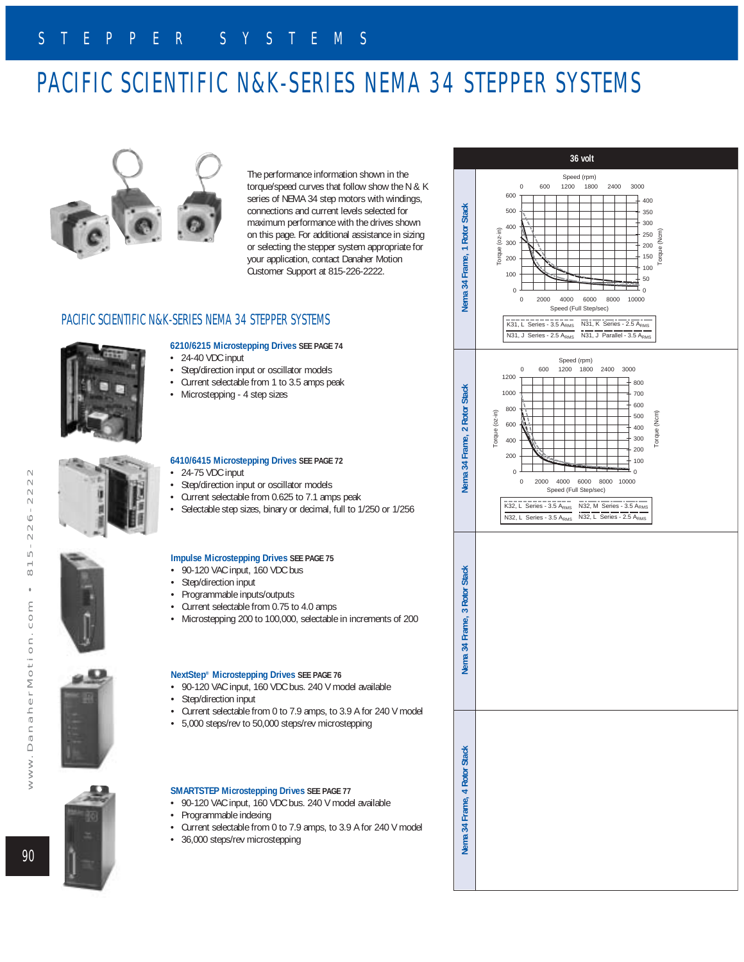# PACIFIC SCIENTIFIC N&K-SERIES NEMA 34 STEPPER SYSTEMS



The performance information shown in the torque/speed curves that follow show the N & K series of NEMA 34 step motors with windings, connections and current levels selected for maximum performance with the drives shown on this page. For additional assistance in sizing or selecting the stepper system appropriate for your application, contact Danaher Motion Customer Support at 815-226-2222.

### PACIFIC SCIENTIFIC N&K-SERIES NEMA 34 STEPPER SYSTEMS



### **6210/6215 Microstepping Drives SEE PAGE 74**

- $\cdot$  24-40 VDC input
- Step/direction input or oscillator models
- Current selectable from 1 to 3.5 amps peak
- Microstepping 4 step sizes







- Step/direction input or oscillator models
- Current selectable from 0.625 to 7.1 amps peak
- Selectable step sizes, binary or decimal, full to 1/250 or 1/256

#### **Impulse Microstepping Drives SEE PAGE 75**

- 90-120 VAC input, 160 VDC bus
- Step/direction input
- Programmable inputs/outputs<br>• Current selectable from 0.75 to
- Current selectable from 0.75 to 4.0 amps
- Microstepping 200 to 100,000, selectable in increments of 200

#### **NextStep® Microstepping Drives SEE PAGE 76**

- 90-120 VAC input, 160 VDC bus. 240 V model available
- Step/direction input
- Current selectable from 0 to 7.9 amps, to 3.9 A for 240 V model
- 5,000 steps/rev to 50,000 steps/rev microstepping



### **SMARTSTEP Microstepping Drives SEE PAGE 77**

- 90-120 VAC input, 160 VDC bus. 240 V model available
- Programmable indexing
- Current selectable from 0 to 7.9 amps, to 3.9 A for 240 V model
- 36,000 steps/rev microstepping



 $-222$  $\sim$  $\sim$  $\sim$  $\overline{a}$  $\overline{\phantom{0}}$ 

 $\infty$  $\ddot{\phantom{0}}$  $\epsilon$  $\circ$  $\smash{\smash{\cup}}$  $\equiv$  $\subset$ 

 $\overline{0}$  +  $\overline{1}$  $\overline{M}$